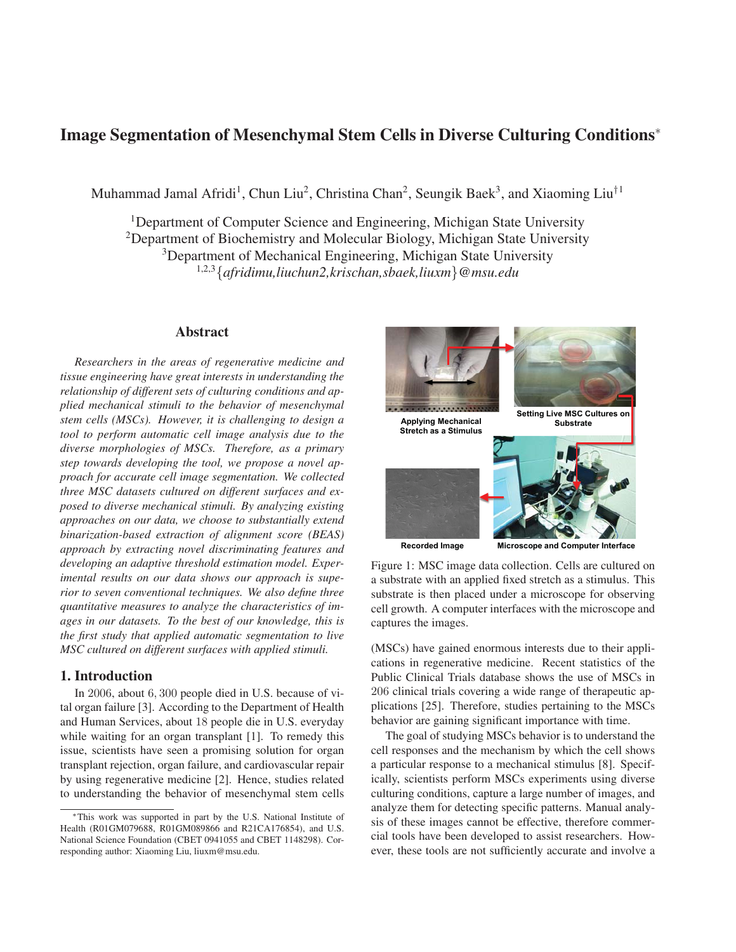# Image Segmentation of Mesenchymal Stem Cells in Diverse Culturing Conditions<sup>∗</sup>

Muhammad Jamal Afridi<sup>1</sup>, Chun Liu<sup>2</sup>, Christina Chan<sup>2</sup>, Seungik Baek<sup>3</sup>, and Xiaoming Liu<sup>†1</sup>

<sup>1</sup>Department of Computer Science and Engineering, Michigan State University 2Department of Biochemistry and Molecular Biology, Michigan State University 3Department of Mechanical Engineering, Michigan State University 1,2,3{*afridimu,liuchun2,krischan,sbaek,liuxm*}*@msu.edu*

# Abstract

*Researchers in the areas of regenerative medicine and tissue engineering have great interests in understanding the relationship of different sets of culturing conditions and applied mechanical stimuli to the behavior of mesenchymal stem cells (MSCs). However, it is challenging to design a tool to perform automatic cell image analysis due to the diverse morphologies of MSCs. Therefore, as a primary step towards developing the tool, we propose a novel approach for accurate cell image segmentation. We collected three MSC datasets cultured on different surfaces and exposed to diverse mechanical stimuli. By analyzing existing approaches on our data, we choose to substantially extend binarization-based extraction of alignment score (BEAS) approach by extracting novel discriminating features and developing an adaptive threshold estimation model. Experimental results on our data shows our approach is superior to seven conventional techniques. We also define three quantitative measures to analyze the characteristics of images in our datasets. To the best of our knowledge, this is the first study that applied automatic segmentation to live MSC cultured on different surfaces with applied stimuli.*

# 1. Introduction

In 2006, about 6, 300 people died in U.S. because of vital organ failure [3]. According to the Department of Health and Human Services, about 18 people die in U.S. everyday while waiting for an organ transplant [1]. To remedy this issue, scientists have seen a promising solution for organ transplant rejection, organ failure, and cardiovascular repair by using regenerative medicine [2]. Hence, studies related to understanding the behavior of mesenchymal stem cells



Figure 1: MSC image data collection. Cells are cultured on a substrate with an applied fixed stretch as a stimulus. This substrate is then placed under a microscope for observing cell growth. A computer interfaces with the microscope and captures the images.

(MSCs) have gained enormous interests due to their applications in regenerative medicine. Recent statistics of the Public Clinical Trials database shows the use of MSCs in 206 clinical trials covering a wide range of therapeutic applications [25]. Therefore, studies pertaining to the MSCs behavior are gaining significant importance with time.

The goal of studying MSCs behavior is to understand the cell responses and the mechanism by which the cell shows a particular response to a mechanical stimulus [8]. Specifically, scientists perform MSCs experiments using diverse culturing conditions, capture a large number of images, and analyze them for detecting specific patterns. Manual analysis of these images cannot be effective, therefore commercial tools have been developed to assist researchers. However, these tools are not sufficiently accurate and involve a

<sup>∗</sup>This work was supported in part by the U.S. National Institute of Health (R01GM079688, R01GM089866 and R21CA176854), and U.S. National Science Foundation (CBET 0941055 and CBET 1148298). Corresponding author: Xiaoming Liu, liuxm@msu.edu.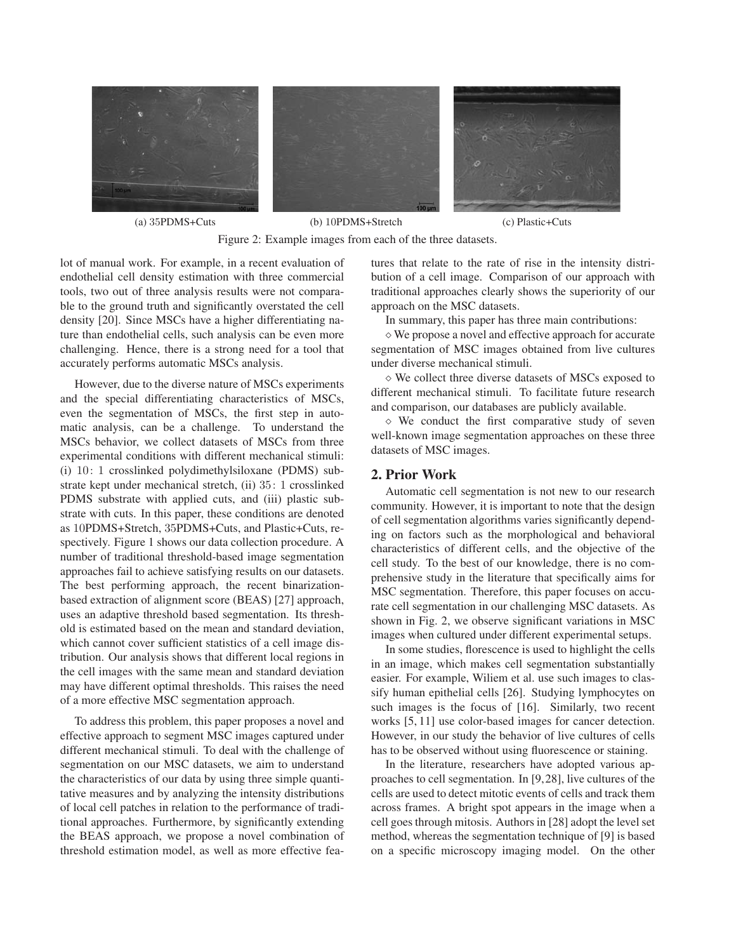

(a) 35PDMS+Cuts (b) 10PDMS+Stretch (c) Plastic+Cuts

Figure 2: Example images from each of the three datasets.

lot of manual work. For example, in a recent evaluation of endothelial cell density estimation with three commercial tools, two out of three analysis results were not comparable to the ground truth and significantly overstated the cell density [20]. Since MSCs have a higher differentiating nature than endothelial cells, such analysis can be even more challenging. Hence, there is a strong need for a tool that accurately performs automatic MSCs analysis.

However, due to the diverse nature of MSCs experiments and the special differentiating characteristics of MSCs, even the segmentation of MSCs, the first step in automatic analysis, can be a challenge. To understand the MSCs behavior, we collect datasets of MSCs from three experimental conditions with different mechanical stimuli: (i) 10: 1 crosslinked polydimethylsiloxane (PDMS) substrate kept under mechanical stretch, (ii) 35: 1 crosslinked PDMS substrate with applied cuts, and (iii) plastic substrate with cuts. In this paper, these conditions are denoted as 10PDMS+Stretch, 35PDMS+Cuts, and Plastic+Cuts, respectively. Figure 1 shows our data collection procedure. A number of traditional threshold-based image segmentation approaches fail to achieve satisfying results on our datasets. The best performing approach, the recent binarizationbased extraction of alignment score (BEAS) [27] approach, uses an adaptive threshold based segmentation. Its threshold is estimated based on the mean and standard deviation, which cannot cover sufficient statistics of a cell image distribution. Our analysis shows that different local regions in the cell images with the same mean and standard deviation may have different optimal thresholds. This raises the need of a more effective MSC segmentation approach.

To address this problem, this paper proposes a novel and effective approach to segment MSC images captured under different mechanical stimuli. To deal with the challenge of segmentation on our MSC datasets, we aim to understand the characteristics of our data by using three simple quantitative measures and by analyzing the intensity distributions of local cell patches in relation to the performance of traditional approaches. Furthermore, by significantly extending the BEAS approach, we propose a novel combination of threshold estimation model, as well as more effective features that relate to the rate of rise in the intensity distribution of a cell image. Comparison of our approach with traditional approaches clearly shows the superiority of our approach on the MSC datasets.

In summary, this paper has three main contributions:

 We propose a novel and effective approach for accurate segmentation of MSC images obtained from live cultures under diverse mechanical stimuli.

 We collect three diverse datasets of MSCs exposed to different mechanical stimuli. To facilitate future research and comparison, our databases are publicly available.

 $\diamond$  We conduct the first comparative study of seven well-known image segmentation approaches on these three datasets of MSC images.

# 2. Prior Work

Automatic cell segmentation is not new to our research community. However, it is important to note that the design of cell segmentation algorithms varies significantly depending on factors such as the morphological and behavioral characteristics of different cells, and the objective of the cell study. To the best of our knowledge, there is no comprehensive study in the literature that specifically aims for MSC segmentation. Therefore, this paper focuses on accurate cell segmentation in our challenging MSC datasets. As shown in Fig. 2, we observe significant variations in MSC images when cultured under different experimental setups.

In some studies, florescence is used to highlight the cells in an image, which makes cell segmentation substantially easier. For example, Wiliem et al. use such images to classify human epithelial cells [26]. Studying lymphocytes on such images is the focus of [16]. Similarly, two recent works [5, 11] use color-based images for cancer detection. However, in our study the behavior of live cultures of cells has to be observed without using fluorescence or staining.

In the literature, researchers have adopted various approaches to cell segmentation. In [9,28], live cultures of the cells are used to detect mitotic events of cells and track them across frames. A bright spot appears in the image when a cell goes through mitosis. Authors in [28] adopt the level set method, whereas the segmentation technique of [9] is based on a specific microscopy imaging model. On the other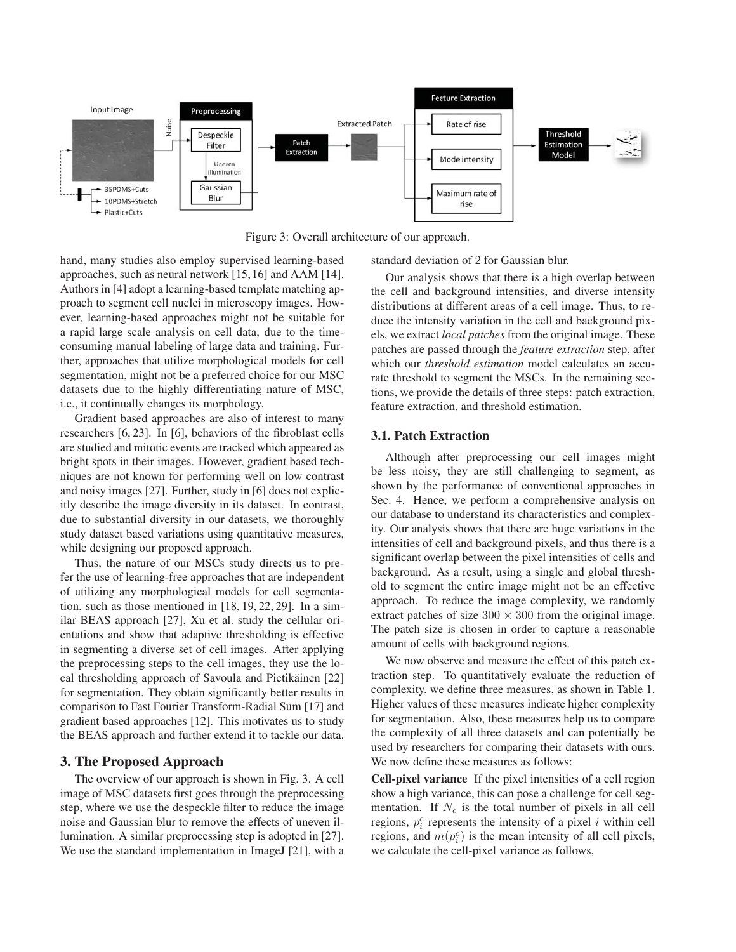

Figure 3: Overall architecture of our approach.

hand, many studies also employ supervised learning-based approaches, such as neural network [15,16] and AAM [14]. Authors in [4] adopt a learning-based template matching approach to segment cell nuclei in microscopy images. However, learning-based approaches might not be suitable for a rapid large scale analysis on cell data, due to the timeconsuming manual labeling of large data and training. Further, approaches that utilize morphological models for cell segmentation, might not be a preferred choice for our MSC datasets due to the highly differentiating nature of MSC, i.e., it continually changes its morphology.

Gradient based approaches are also of interest to many researchers [6, 23]. In [6], behaviors of the fibroblast cells are studied and mitotic events are tracked which appeared as bright spots in their images. However, gradient based techniques are not known for performing well on low contrast and noisy images [27]. Further, study in [6] does not explicitly describe the image diversity in its dataset. In contrast, due to substantial diversity in our datasets, we thoroughly study dataset based variations using quantitative measures, while designing our proposed approach.

Thus, the nature of our MSCs study directs us to prefer the use of learning-free approaches that are independent of utilizing any morphological models for cell segmentation, such as those mentioned in [18, 19, 22, 29]. In a similar BEAS approach [27], Xu et al. study the cellular orientations and show that adaptive thresholding is effective in segmenting a diverse set of cell images. After applying the preprocessing steps to the cell images, they use the local thresholding approach of Savoula and Pietikainen [22] for segmentation. They obtain significantly better results in comparison to Fast Fourier Transform-Radial Sum [17] and gradient based approaches [12]. This motivates us to study the BEAS approach and further extend it to tackle our data.

## 3. The Proposed Approach

The overview of our approach is shown in Fig. 3. A cell image of MSC datasets first goes through the preprocessing step, where we use the despeckle filter to reduce the image noise and Gaussian blur to remove the effects of uneven illumination. A similar preprocessing step is adopted in [27]. We use the standard implementation in ImageJ [21], with a standard deviation of 2 for Gaussian blur.

Our analysis shows that there is a high overlap between the cell and background intensities, and diverse intensity distributions at different areas of a cell image. Thus, to reduce the intensity variation in the cell and background pixels, we extract *local patches* from the original image. These patches are passed through the *feature extraction* step, after which our *threshold estimation* model calculates an accurate threshold to segment the MSCs. In the remaining sections, we provide the details of three steps: patch extraction, feature extraction, and threshold estimation.

# 3.1. Patch Extraction

Although after preprocessing our cell images might be less noisy, they are still challenging to segment, as shown by the performance of conventional approaches in Sec. 4. Hence, we perform a comprehensive analysis on our database to understand its characteristics and complexity. Our analysis shows that there are huge variations in the intensities of cell and background pixels, and thus there is a significant overlap between the pixel intensities of cells and background. As a result, using a single and global threshold to segment the entire image might not be an effective approach. To reduce the image complexity, we randomly extract patches of size  $300 \times 300$  from the original image. The patch size is chosen in order to capture a reasonable amount of cells with background regions.

We now observe and measure the effect of this patch extraction step. To quantitatively evaluate the reduction of complexity, we define three measures, as shown in Table 1. Higher values of these measures indicate higher complexity for segmentation. Also, these measures help us to compare the complexity of all three datasets and can potentially be used by researchers for comparing their datasets with ours. We now define these measures as follows:

Cell-pixel variance If the pixel intensities of a cell region show a high variance, this can pose a challenge for cell segmentation. If  $N_c$  is the total number of pixels in all cell regions,  $p_i^c$  represents the intensity of a pixel i within cell<br>regions, and  $m(n^c)$  is the mean intensity of all cell pixels regions, and  $m(p_i^c)$  is the mean intensity of all cell pixels,<br>we calculate the cell pixel variance as follows we calculate the cell-pixel variance as follows,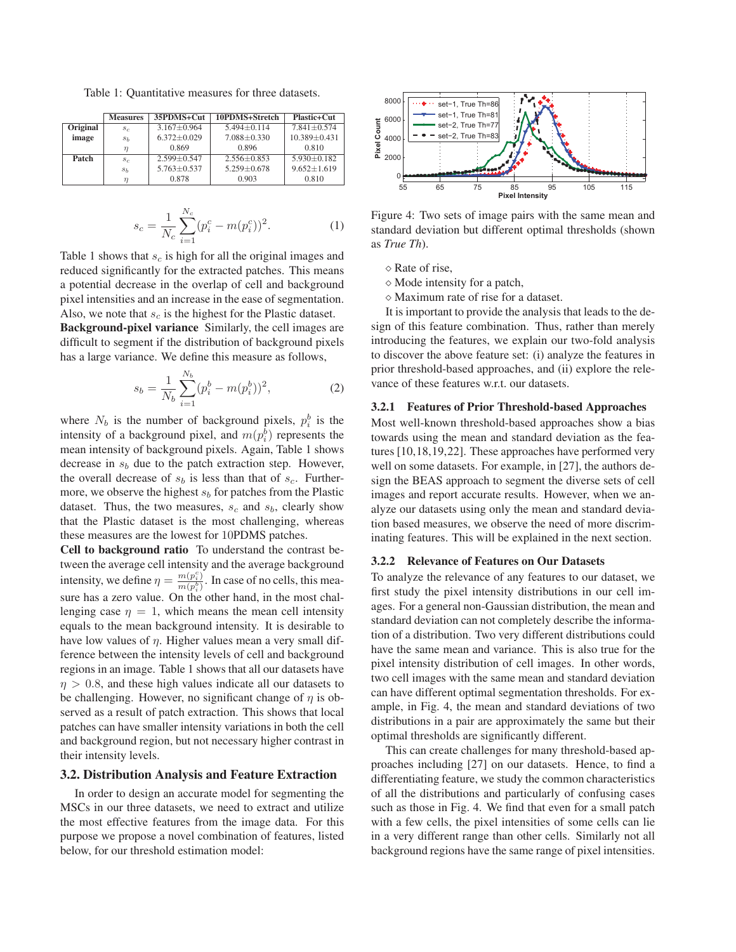Table 1: Quantitative measures for three datasets.

|          | <b>Measures</b> | 35PDMS+Cut        | 10PDMS+Stretch    | Plastic+Cut        |
|----------|-----------------|-------------------|-------------------|--------------------|
| Original | $S_C$           | $3.167 \pm 0.964$ | $5.494 \pm 0.114$ | $7.841 + 0.574$    |
| image    | s <sub>b</sub>  | $6.372 \pm 0.029$ | $7.088 \pm 0.330$ | $10.389 \pm 0.431$ |
|          |                 | 0.869             | 0.896             | 0.810              |
| Patch    | $s_c$           | $2.599 + 0.547$   | $2.556 + 0.853$   | $5.930 + 0.182$    |
|          | s <sub>b</sub>  | $5.763 \pm 0.537$ | $5.259 \pm 0.678$ | $9.652 \pm 1.619$  |
|          |                 | 0.878             | 0.903             | 0.810              |

$$
s_c = \frac{1}{N_c} \sum_{i=1}^{N_c} (p_i^c - m(p_i^c))^2.
$$
 (1)

Table 1 shows that  $s_c$  is high for all the original images and reduced significantly for the orterated notabes. This means reduced significantly for the extracted patches. This means a potential decrease in the overlap of cell and background pixel intensities and an increase in the ease of segmentation. Also, we note that  $s_c$  is the highest for the Plastic dataset.

Background-pixel variance Similarly, the cell images are difficult to segment if the distribution of background pixels has a large variance. We define this measure as follows,

$$
s_b = \frac{1}{N_b} \sum_{i=1}^{N_b} (p_i^b - m(p_i^b))^2,
$$
 (2)

where  $N_b$  is the number of background pixels,  $p_i^b$  is the intensity of a background pixel, and  $m(p^b)$  represents the intensity of a background pixel, and  $m(p_i^b)$  represents the<br>mean intensity of background pixels. Again, Table 1 shows mean intensity of background pixels. Again, Table 1 shows decrease in  $s_b$  due to the patch extraction step. However, the overall decrease of  $s_b$  is less than that of  $s_c$ . Furthermore, we observe the highest  $s<sub>b</sub>$  for patches from the Plastic dataset. Thus, the two measures,  $s_c$  and  $s_b$ , clearly show that the Plastic dataset is the most challenging, whereas these measures are the lowest for 10PDMS patches.

Cell to background ratio To understand the contrast between the average cell intensity and the average background intensity, we define  $\eta = \frac{m(p_i^c)}{m(p_i^b)}$  $\frac{m(p_i)}{m(p_i^b)}$ . In case of no cells, this measure has a zero value. On the other hand, in the most challenging case  $\eta = 1$ , which means the mean cell intensity equals to the mean background intensity. It is desirable to have low values of  $\eta$ . Higher values mean a very small difference between the intensity levels of cell and background regions in an image. Table 1 shows that all our datasets have  $\eta > 0.8$ , and these high values indicate all our datasets to be challenging. However, no significant change of  $\eta$  is observed as a result of patch extraction. This shows that local patches can have smaller intensity variations in both the cell and background region, but not necessary higher contrast in their intensity levels.

#### 3.2. Distribution Analysis and Feature Extraction

In order to design an accurate model for segmenting the MSCs in our three datasets, we need to extract and utilize the most effective features from the image data. For this purpose we propose a novel combination of features, listed below, for our threshold estimation model:



Figure 4: Two sets of image pairs with the same mean and standard deviation but different optimal thresholds (shown as *True Th*).

- $\diamond$  Rate of rise,
- $\diamond$  Mode intensity for a patch,
- $\diamond$  Maximum rate of rise for a dataset.

It is important to provide the analysis that leads to the design of this feature combination. Thus, rather than merely introducing the features, we explain our two-fold analysis to discover the above feature set: (i) analyze the features in prior threshold-based approaches, and (ii) explore the relevance of these features w.r.t. our datasets.

#### 3.2.1 Features of Prior Threshold-based Approaches

Most well-known threshold-based approaches show a bias towards using the mean and standard deviation as the features [10,18,19,22]. These approaches have performed very well on some datasets. For example, in [27], the authors design the BEAS approach to segment the diverse sets of cell images and report accurate results. However, when we analyze our datasets using only the mean and standard deviation based measures, we observe the need of more discriminating features. This will be explained in the next section.

## 3.2.2 Relevance of Features on Our Datasets

To analyze the relevance of any features to our dataset, we first study the pixel intensity distributions in our cell images. For a general non-Gaussian distribution, the mean and standard deviation can not completely describe the information of a distribution. Two very different distributions could have the same mean and variance. This is also true for the pixel intensity distribution of cell images. In other words, two cell images with the same mean and standard deviation can have different optimal segmentation thresholds. For example, in Fig. 4, the mean and standard deviations of two distributions in a pair are approximately the same but their optimal thresholds are significantly different.

This can create challenges for many threshold-based approaches including [27] on our datasets. Hence, to find a differentiating feature, we study the common characteristics of all the distributions and particularly of confusing cases such as those in Fig. 4. We find that even for a small patch with a few cells, the pixel intensities of some cells can lie in a very different range than other cells. Similarly not all background regions have the same range of pixel intensities.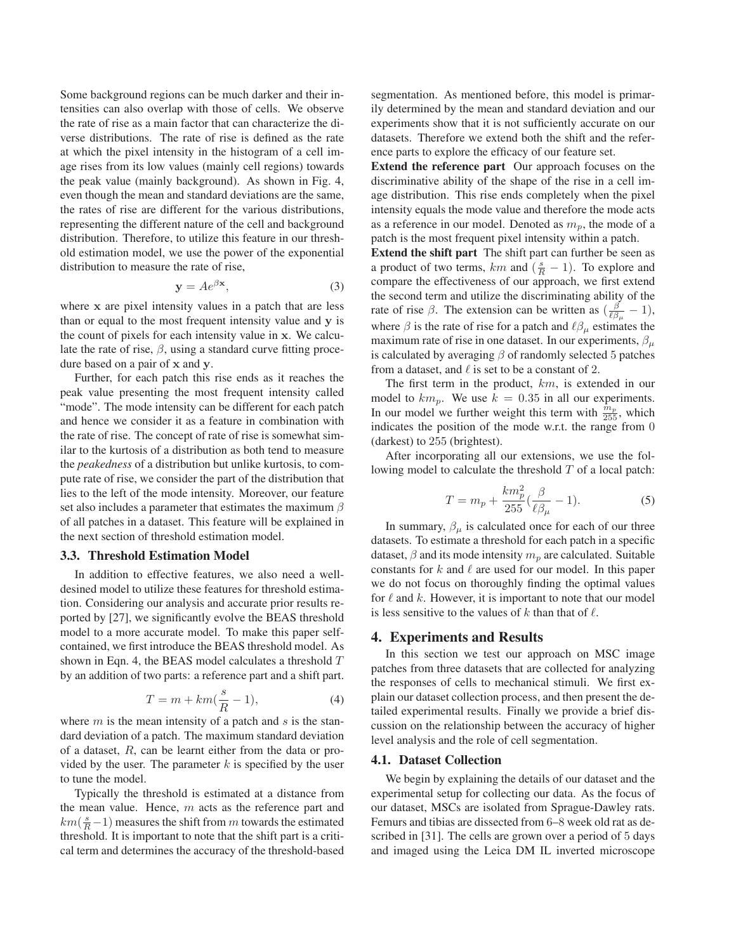Some background regions can be much darker and their intensities can also overlap with those of cells. We observe the rate of rise as a main factor that can characterize the diverse distributions. The rate of rise is defined as the rate at which the pixel intensity in the histogram of a cell image rises from its low values (mainly cell regions) towards the peak value (mainly background). As shown in Fig. 4, even though the mean and standard deviations are the same, the rates of rise are different for the various distributions, representing the different nature of the cell and background distribution. Therefore, to utilize this feature in our threshold estimation model, we use the power of the exponential distribution to measure the rate of rise,

$$
y = Ae^{\beta x}, \tag{3}
$$

where **x** are pixel intensity values in a patch that are less than or equal to the most frequent intensity value and **y** is the count of pixels for each intensity value in **x**. We calculate the rate of rise,  $\beta$ , using a standard curve fitting procedure based on a pair of **x** and **y**.

Further, for each patch this rise ends as it reaches the peak value presenting the most frequent intensity called "mode". The mode intensity can be different for each patch and hence we consider it as a feature in combination with the rate of rise. The concept of rate of rise is somewhat similar to the kurtosis of a distribution as both tend to measure the *peakedness* of a distribution but unlike kurtosis, to compute rate of rise, we consider the part of the distribution that lies to the left of the mode intensity. Moreover, our feature set also includes a parameter that estimates the maximum  $\beta$ of all patches in a dataset. This feature will be explained in the next section of threshold estimation model.

### 3.3. Threshold Estimation Model

In addition to effective features, we also need a welldesined model to utilize these features for threshold estimation. Considering our analysis and accurate prior results reported by [27], we significantly evolve the BEAS threshold model to a more accurate model. To make this paper selfcontained, we first introduce the BEAS threshold model. As shown in Eqn. 4, the BEAS model calculates a threshold T by an addition of two parts: a reference part and a shift part.

$$
T = m + km(\frac{s}{R} - 1),\tag{4}
$$

where  $m$  is the mean intensity of a patch and  $s$  is the standard deviation of a patch. The maximum standard deviation of a dataset, R, can be learnt either from the data or provided by the user. The parameter  $k$  is specified by the user to tune the model.

Typically the threshold is estimated at a distance from the mean value. Hence,  $m$  acts as the reference part and  $km(\frac{s}{R}-1)$  measures the shift from m towards the estimated<br>threshold. It is important to note that the shift part is a critithreshold. It is important to note that the shift part is a critical term and determines the accuracy of the threshold-based

segmentation. As mentioned before, this model is primarily determined by the mean and standard deviation and our experiments show that it is not sufficiently accurate on our datasets. Therefore we extend both the shift and the reference parts to explore the efficacy of our feature set.

Extend the reference part Our approach focuses on the discriminative ability of the shape of the rise in a cell image distribution. This rise ends completely when the pixel intensity equals the mode value and therefore the mode acts as a reference in our model. Denoted as  $m_p$ , the mode of a patch is the most frequent pixel intensity within a patch.

Extend the shift part The shift part can further be seen as a product of two terms,  $km$  and  $(\frac{8}{R} - 1)$ . To explore and compare the effectiveness of our approach we first extend compare the effectiveness of our approach, we first extend the second term and utilize the discriminating ability of the rate of rise  $\beta$ . The extension can be written as  $(\frac{\beta}{\ell\beta\mu} - 1)$ , where  $\beta$  is the rate of rise for a patch and  $\ell \beta_{\mu}$  estimates the maximum rate of rise in one dataset. In our experiments,  $\beta_{\mu}$ is calculated by averaging  $\beta$  of randomly selected 5 patches from a dataset, and  $\ell$  is set to be a constant of 2.

The first term in the product, km, is extended in our model to  $km_p$ . We use  $k = 0.35$  in all our experiments. In our model we further weight this term with  $\frac{m_p}{255}$ , which indicates the position of the mode w.r.t. the range from 0 (darkest) to 255 (brightest).

After incorporating all our extensions, we use the following model to calculate the threshold  $T$  of a local patch:

$$
T = m_p + \frac{km_p^2}{255} (\frac{\beta}{\ell \beta_\mu} - 1).
$$
 (5)

In summary,  $\beta_{\mu}$  is calculated once for each of our three datasets. To estimate a threshold for each patch in a specific dataset,  $\beta$  and its mode intensity  $m_p$  are calculated. Suitable constants for k and  $\ell$  are used for our model. In this paper we do not focus on thoroughly finding the optimal values for  $\ell$  and k. However, it is important to note that our model is less sensitive to the values of k than that of  $\ell$ .

#### 4. Experiments and Results

In this section we test our approach on MSC image patches from three datasets that are collected for analyzing the responses of cells to mechanical stimuli. We first explain our dataset collection process, and then present the detailed experimental results. Finally we provide a brief discussion on the relationship between the accuracy of higher level analysis and the role of cell segmentation.

#### 4.1. Dataset Collection

We begin by explaining the details of our dataset and the experimental setup for collecting our data. As the focus of our dataset, MSCs are isolated from Sprague-Dawley rats. Femurs and tibias are dissected from 6–8 week old rat as described in [31]. The cells are grown over a period of 5 days and imaged using the Leica DM IL inverted microscope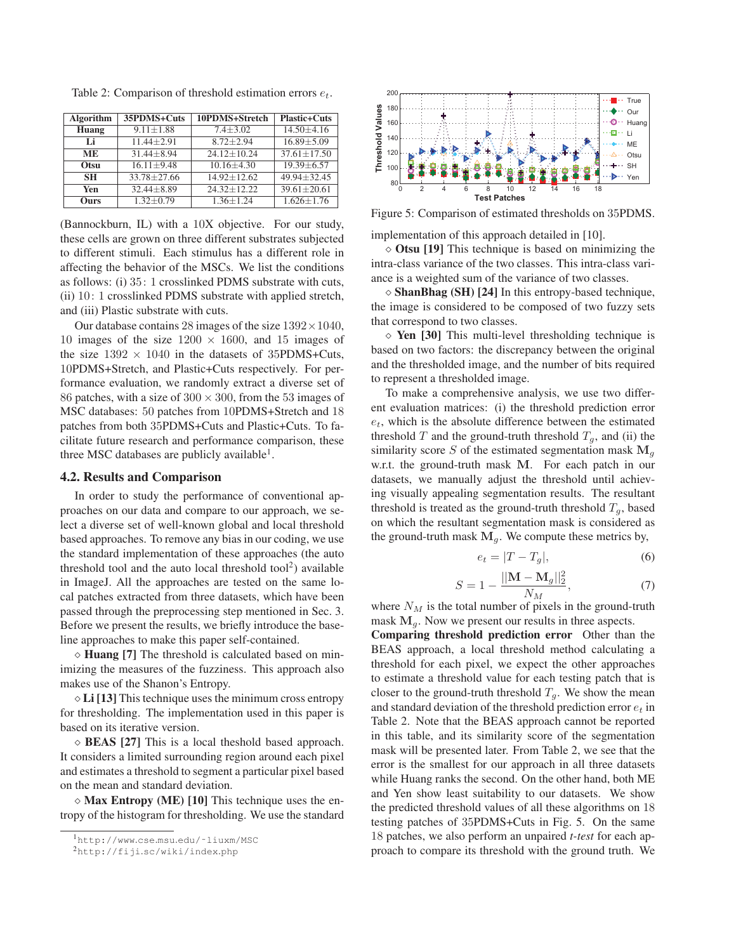Table 2: Comparison of threshold estimation errors  $e_t$ .

| <b>Algorithm</b> | 35PDMS+Cuts      | 10PDMS+Stretch    | <b>Plastic+Cuts</b> |
|------------------|------------------|-------------------|---------------------|
| <b>Huang</b>     | $9.11 \pm 1.88$  | $7.4 \pm 3.02$    | 14.50 ± 4.16        |
| Li               | $11.44 \pm 2.91$ | $8.72 + 2.94$     | $16.89 \pm 5.09$    |
| <b>ME</b>        | $31.44 \pm 8.94$ | $24.12 \pm 10.24$ | $37.61 \pm 17.50$   |
| <b>Otsu</b>      | $16.11 \pm 9.48$ | $10.16 \pm 4.30$  | $19.39 \pm 6.57$    |
| <b>SH</b>        | 33.78±27.66      | $14.92 + 12.62$   | $49.94 + 32.45$     |
| Yen              | 32.44±8.89       | 24.32±12.22       | $39.61 \pm 20.61$   |
| <b>Ours</b>      | $1.32 \pm 0.79$  | $1.36 \pm 1.24$   | $1.626 \pm 1.76$    |

(Bannockburn, IL) with a 10X objective. For our study, these cells are grown on three different substrates subjected to different stimuli. Each stimulus has a different role in affecting the behavior of the MSCs. We list the conditions as follows: (i) 35: 1 crosslinked PDMS substrate with cuts, (ii) 10: 1 crosslinked PDMS substrate with applied stretch, and (iii) Plastic substrate with cuts.

Our database contains 28 images of the size  $1392 \times 1040$ , 10 images of the size  $1200 \times 1600$ , and 15 images of the size  $1392 \times 1040$  in the datasets of 35PDMS+Cuts, 10PDMS+Stretch, and Plastic+Cuts respectively. For performance evaluation, we randomly extract a diverse set of 86 patches, with a size of  $300 \times 300$ , from the 53 images of MSC databases: 50 patches from 10PDMS+Stretch and 18 patches from both 35PDMS+Cuts and Plastic+Cuts. To facilitate future research and performance comparison, these three MSC databases are publicly available<sup>1</sup>.

#### 4.2. Results and Comparison

In order to study the performance of conventional approaches on our data and compare to our approach, we select a diverse set of well-known global and local threshold based approaches. To remove any bias in our coding, we use the standard implementation of these approaches (the auto threshold tool and the auto local threshold tool<sup>2</sup>) available in ImageJ. All the approaches are tested on the same local patches extracted from three datasets, which have been passed through the preprocessing step mentioned in Sec. 3. Before we present the results, we briefly introduce the baseline approaches to make this paper self-contained.

 $\diamond$  Huang [7] The threshold is calculated based on minimizing the measures of the fuzziness. This approach also makes use of the Shanon's Entropy.

 $\Diamond$  Li [13] This technique uses the minimum cross entropy for thresholding. The implementation used in this paper is based on its iterative version.

 $\Diamond$  BEAS [27] This is a local theshold based approach. It considers a limited surrounding region around each pixel and estimates a threshold to segment a particular pixel based on the mean and standard deviation.

 $\Diamond$  Max Entropy (ME) [10] This technique uses the entropy of the histogram for thresholding. We use the standard



Figure 5: Comparison of estimated thresholds on 35PDMS.

implementation of this approach detailed in [10].

 $\Diamond$  Otsu [19] This technique is based on minimizing the intra-class variance of the two classes. This intra-class variance is a weighted sum of the variance of two classes.

 $\Diamond$  ShanBhag (SH) [24] In this entropy-based technique, the image is considered to be composed of two fuzzy sets that correspond to two classes.

 $\Diamond$  Yen [30] This multi-level thresholding technique is based on two factors: the discrepancy between the original and the thresholded image, and the number of bits required to represent a thresholded image.

To make a comprehensive analysis, we use two different evaluation matrices: (i) the threshold prediction error  $e_t$ , which is the absolute difference between the estimated threshold T and the ground-truth threshold  $T<sub>g</sub>$ , and (ii) the similarity score S of the estimated segmentation mask  $\mathbf{M}_q$ w.r.t. the ground-truth mask **M**. For each patch in our datasets, we manually adjust the threshold until achieving visually appealing segmentation results. The resultant threshold is treated as the ground-truth threshold  $T<sub>g</sub>$ , based on which the resultant segmentation mask is considered as the ground-truth mask  $M<sub>q</sub>$ . We compute these metrics by,

$$
e_t = |T - T_g|,\t\t(6)
$$

$$
S = 1 - \frac{||\mathbf{M} - \mathbf{M}_g||_2^2}{N_M},
$$
\n(7)

\ntotal number of pixels in the ground truth.

where  $N_M$  is the total number of pixels in the ground-truth<br>most:  $\mathbf{M}$ . Now we grow the ground-truth in three groots. mask  $M<sub>q</sub>$ . Now we present our results in three aspects.

Comparing threshold prediction error Other than the BEAS approach, a local threshold method calculating a threshold for each pixel, we expect the other approaches to estimate a threshold value for each testing patch that is closer to the ground-truth threshold  $T_g$ . We show the mean and standard deviation of the threshold prediction error  $e_t$  in Table 2. Note that the BEAS approach cannot be reported in this table, and its similarity score of the segmentation mask will be presented later. From Table 2, we see that the error is the smallest for our approach in all three datasets while Huang ranks the second. On the other hand, both ME and Yen show least suitability to our datasets. We show the predicted threshold values of all these algorithms on 18 testing patches of 35PDMS+Cuts in Fig. 5. On the same 18 patches, we also perform an unpaired *t-test* for each approach to compare its threshold with the ground truth. We

<sup>1</sup>http://www.cse.msu.edu/˜liuxm/MSC <sup>2</sup>http://fiji.sc/wiki/index.php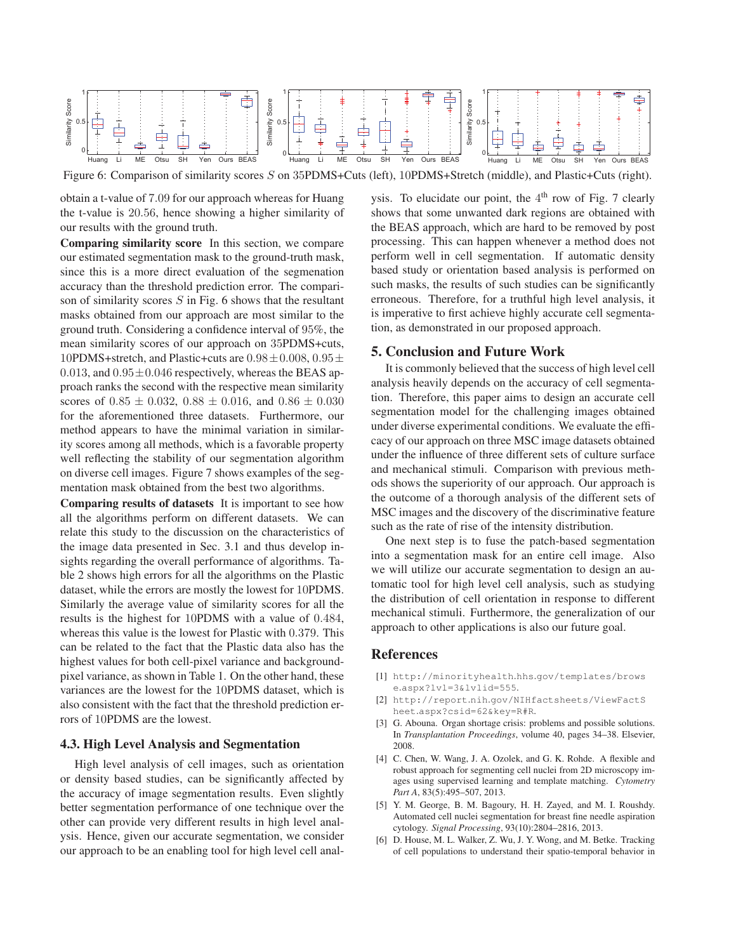

Figure 6: Comparison of similarity scores S on 35PDMS+Cuts (left), 10PDMS+Stretch (middle), and Plastic+Cuts (right).

obtain a t-value of 7.09 for our approach whereas for Huang the t-value is 20.56, hence showing a higher similarity of our results with the ground truth.

Comparing similarity score In this section, we compare our estimated segmentation mask to the ground-truth mask, since this is a more direct evaluation of the segmenation accuracy than the threshold prediction error. The comparison of similarity scores  $S$  in Fig. 6 shows that the resultant masks obtained from our approach are most similar to the ground truth. Considering a confidence interval of 95%, the mean similarity scores of our approach on 35PDMS+cuts, 10PDMS+stretch, and Plastic+cuts are  $0.98 \pm 0.008$ ,  $0.95 \pm$ 0.013, and  $0.95 \pm 0.046$  respectively, whereas the BEAS approach ranks the second with the respective mean similarity scores of  $0.85 \pm 0.032$ ,  $0.88 \pm 0.016$ , and  $0.86 \pm 0.030$ for the aforementioned three datasets. Furthermore, our method appears to have the minimal variation in similarity scores among all methods, which is a favorable property well reflecting the stability of our segmentation algorithm on diverse cell images. Figure 7 shows examples of the segmentation mask obtained from the best two algorithms.

Comparing results of datasets It is important to see how all the algorithms perform on different datasets. We can relate this study to the discussion on the characteristics of the image data presented in Sec. 3.1 and thus develop insights regarding the overall performance of algorithms. Table 2 shows high errors for all the algorithms on the Plastic dataset, while the errors are mostly the lowest for 10PDMS. Similarly the average value of similarity scores for all the results is the highest for 10PDMS with a value of 0.484, whereas this value is the lowest for Plastic with 0.379. This can be related to the fact that the Plastic data also has the highest values for both cell-pixel variance and backgroundpixel variance, as shown in Table 1. On the other hand, these variances are the lowest for the 10PDMS dataset, which is also consistent with the fact that the threshold prediction errors of 10PDMS are the lowest.

## 4.3. High Level Analysis and Segmentation

High level analysis of cell images, such as orientation or density based studies, can be significantly affected by the accuracy of image segmentation results. Even slightly better segmentation performance of one technique over the other can provide very different results in high level analysis. Hence, given our accurate segmentation, we consider our approach to be an enabling tool for high level cell analysis. To elucidate our point, the  $4<sup>th</sup>$  row of Fig. 7 clearly shows that some unwanted dark regions are obtained with the BEAS approach, which are hard to be removed by post processing. This can happen whenever a method does not perform well in cell segmentation. If automatic density based study or orientation based analysis is performed on such masks, the results of such studies can be significantly erroneous. Therefore, for a truthful high level analysis, it is imperative to first achieve highly accurate cell segmentation, as demonstrated in our proposed approach.

## 5. Conclusion and Future Work

It is commonly believed that the success of high level cell analysis heavily depends on the accuracy of cell segmentation. Therefore, this paper aims to design an accurate cell segmentation model for the challenging images obtained under diverse experimental conditions. We evaluate the efficacy of our approach on three MSC image datasets obtained under the influence of three different sets of culture surface and mechanical stimuli. Comparison with previous methods shows the superiority of our approach. Our approach is the outcome of a thorough analysis of the different sets of MSC images and the discovery of the discriminative feature such as the rate of rise of the intensity distribution.

One next step is to fuse the patch-based segmentation into a segmentation mask for an entire cell image. Also we will utilize our accurate segmentation to design an automatic tool for high level cell analysis, such as studying the distribution of cell orientation in response to different mechanical stimuli. Furthermore, the generalization of our approach to other applications is also our future goal.

# References

- [1] http://minorityhealth.hhs.gov/templates/brows e.aspx?lvl=3&lvlid=555.
- [2] http://report.nih.gov/NIHfactsheets/ViewFactS heet.aspx?csid=62&key=R#R.
- [3] G. Abouna. Organ shortage crisis: problems and possible solutions. In *Transplantation Proceedings*, volume 40, pages 34–38. Elsevier, 2008.
- [4] C. Chen, W. Wang, J. A. Ozolek, and G. K. Rohde. A flexible and robust approach for segmenting cell nuclei from 2D microscopy images using supervised learning and template matching. *Cytometry Part A*, 83(5):495–507, 2013.
- [5] Y. M. George, B. M. Bagoury, H. H. Zayed, and M. I. Roushdy. Automated cell nuclei segmentation for breast fine needle aspiration cytology. *Signal Processing*, 93(10):2804–2816, 2013.
- [6] D. House, M. L. Walker, Z. Wu, J. Y. Wong, and M. Betke. Tracking of cell populations to understand their spatio-temporal behavior in